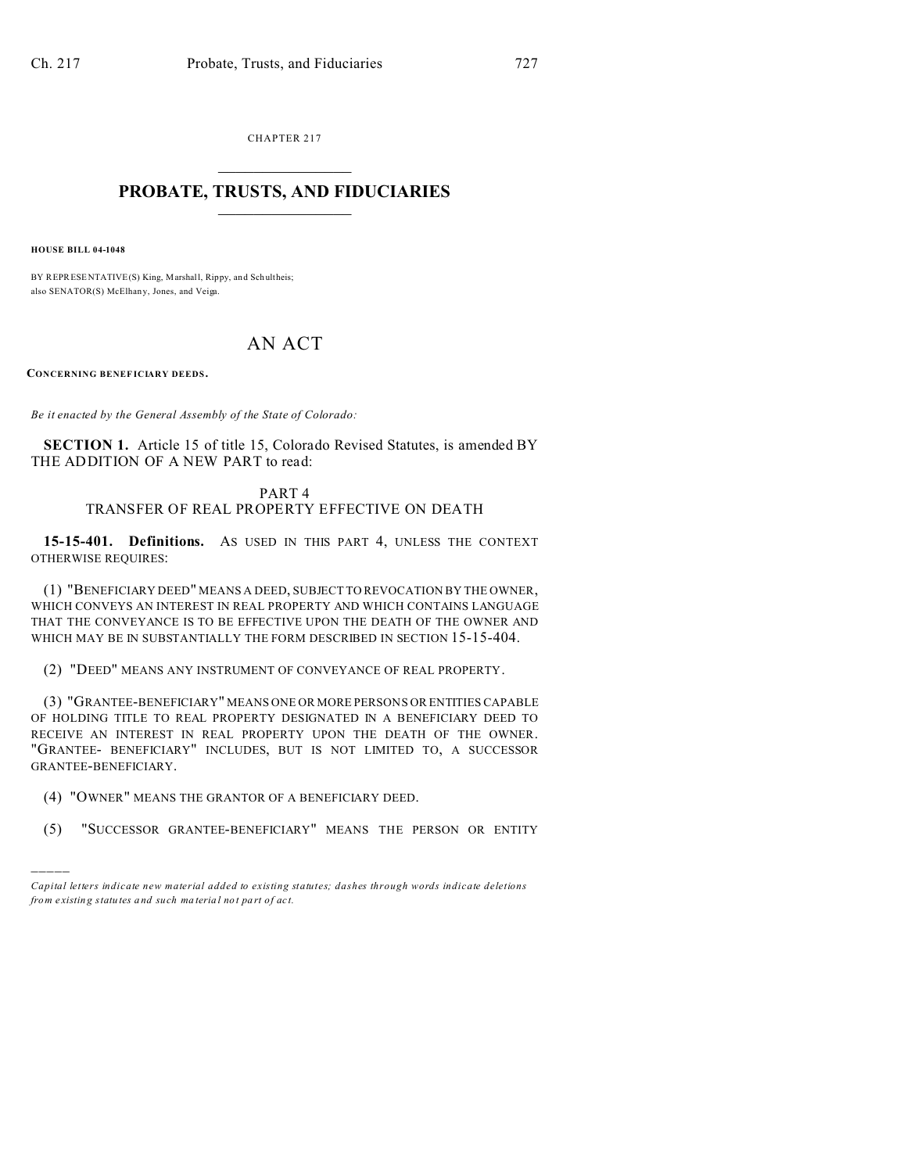CHAPTER 217  $\overline{\phantom{a}}$  , where  $\overline{\phantom{a}}$ 

#### **PROBATE, TRUSTS, AND FIDUCIARIES**  $\overline{\phantom{a}}$

**HOUSE BILL 04-1048**

)))))

BY REPRESENTATIVE(S) King, Marshall, Rippy, and Schultheis; also SENATOR(S) McElhan y, Jones, and Veiga.

# AN ACT

**CONCERNING BENEF ICIARY DEEDS .**

*Be it enacted by the General Assembly of the State of Colorado:*

**SECTION 1.** Article 15 of title 15, Colorado Revised Statutes, is amended BY THE ADDITION OF A NEW PART to read:

#### PART 4 TRANSFER OF REAL PROPERTY EFFECTIVE ON DEATH

**15-15-401. Definitions.** AS USED IN THIS PART 4, UNLESS THE CONTEXT OTHERWISE REQUIRES:

(1) "BENEFICIARY DEED" MEANS A DEED, SUBJECT TO REVOCATION BY THE OWNER, WHICH CONVEYS AN INTEREST IN REAL PROPERTY AND WHICH CONTAINS LANGUAGE THAT THE CONVEYANCE IS TO BE EFFECTIVE UPON THE DEATH OF THE OWNER AND WHICH MAY BE IN SUBSTANTIALLY THE FORM DESCRIBED IN SECTION 15-15-404.

(2) "DEED" MEANS ANY INSTRUMENT OF CONVEYANCE OF REAL PROPERTY.

(3) "GRANTEE-BENEFICIARY" MEANS ONE OR MORE PERSONS OR ENTITIES CAPABLE OF HOLDING TITLE TO REAL PROPERTY DESIGNATED IN A BENEFICIARY DEED TO RECEIVE AN INTEREST IN REAL PROPERTY UPON THE DEATH OF THE OWNER. "GRANTEE- BENEFICIARY" INCLUDES, BUT IS NOT LIMITED TO, A SUCCESSOR GRANTEE-BENEFICIARY.

- (4) "OWNER" MEANS THE GRANTOR OF A BENEFICIARY DEED.
- (5) "SUCCESSOR GRANTEE-BENEFICIARY" MEANS THE PERSON OR ENTITY

*Capital letters indicate new material added to existing statutes; dashes through words indicate deletions from e xistin g statu tes a nd such ma teria l no t pa rt of ac t.*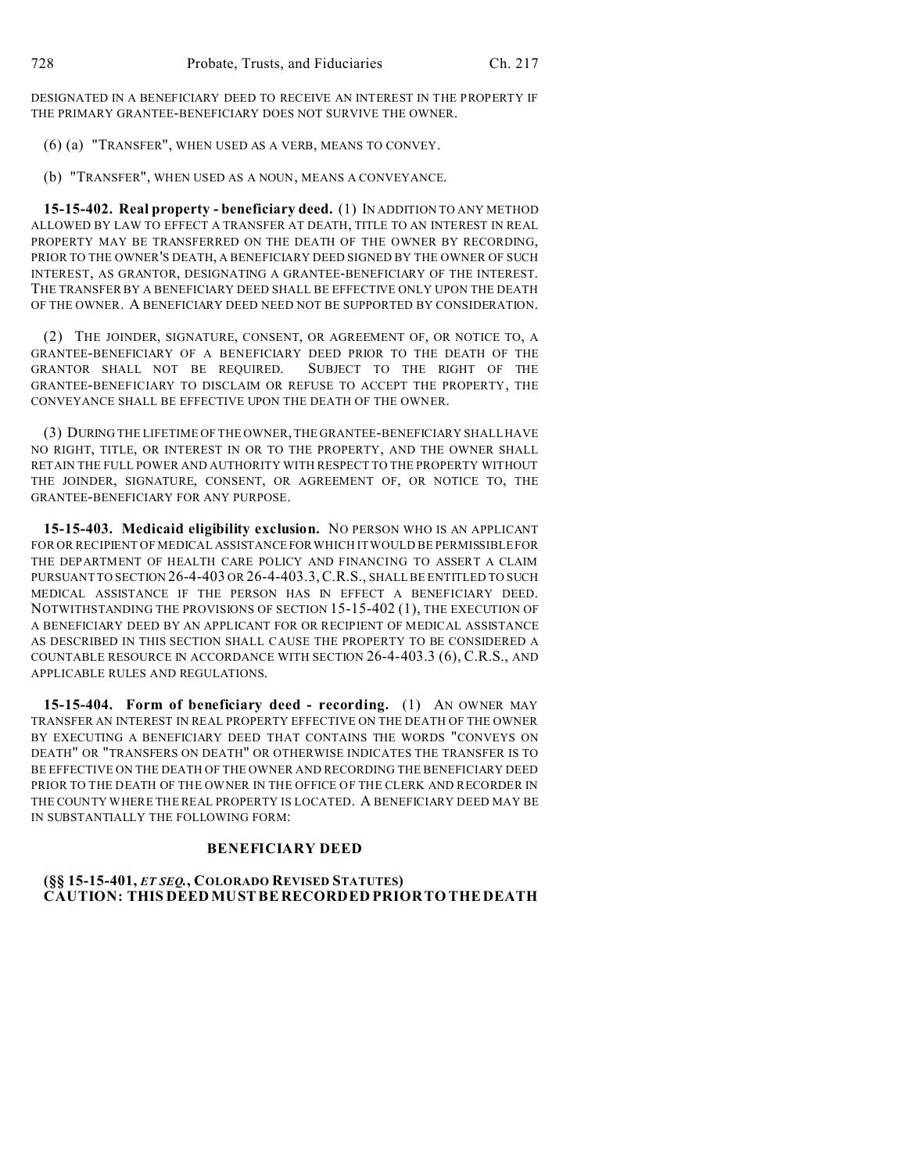DESIGNATED IN A BENEFICIARY DEED TO RECEIVE AN INTEREST IN THE PROPERTY IF THE PRIMARY GRANTEE-BENEFICIARY DOES NOT SURVIVE THE OWNER.

(6) (a) "TRANSFER", WHEN USED AS A VERB, MEANS TO CONVEY.

(b) "TRANSFER", WHEN USED AS A NOUN, MEANS A CONVEYANCE.

**15-15-402. Real property - beneficiary deed.** (1) IN ADDITION TO ANY METHOD ALLOWED BY LAW TO EFFECT A TRANSFER AT DEATH, TITLE TO AN INTEREST IN REAL PROPERTY MAY BE TRANSFERRED ON THE DEATH OF THE OWNER BY RECORDING, PRIOR TO THE OWNER'S DEATH, A BENEFICIARY DEED SIGNED BY THE OWNER OF SUCH INTEREST, AS GRANTOR, DESIGNATING A GRANTEE-BENEFICIARY OF THE INTEREST. THE TRANSFER BY A BENEFICIARY DEED SHALL BE EFFECTIVE ONLY UPON THE DEATH OF THE OWNER. A BENEFICIARY DEED NEED NOT BE SUPPORTED BY CONSIDERATION.

(2) THE JOINDER, SIGNATURE, CONSENT, OR AGREEMENT OF, OR NOTICE TO, A GRANTEE-BENEFICIARY OF A BENEFICIARY DEED PRIOR TO THE DEATH OF THE GRANTOR SHALL NOT BE REQUIRED. SUBJECT TO THE RIGHT OF THE GRANTEE-BENEFICIARY TO DISCLAIM OR REFUSE TO ACCEPT THE PROPERTY, THE CONVEYANCE SHALL BE EFFECTIVE UPON THE DEATH OF THE OWNER.

(3) DURING THE LIFETIME OF THE OWNER, THE GRANTEE-BENEFICIARY SHALL HAVE NO RIGHT, TITLE, OR INTEREST IN OR TO THE PROPERTY, AND THE OWNER SHALL RETAIN THE FULL POWER AND AUTHORITY WITH RESPECT TO THE PROPERTY WITHOUT THE JOINDER, SIGNATURE, CONSENT, OR AGREEMENT OF, OR NOTICE TO, THE GRANTEE-BENEFICIARY FOR ANY PURPOSE.

**15-15-403. Medicaid eligibility exclusion.** NO PERSON WHO IS AN APPLICANT FOR OR RECIPIENT OF MEDICAL ASSISTANCEFOR WHICH IT WOULD BE PERMISSIBLE FOR THE DEPARTMENT OF HEALTH CARE POLICY AND FINANCING TO ASSERT A CLAIM PURSUANT TO SECTION 26-4-403 OR 26-4-403.3, C.R.S., SHALL BE ENTITLED TO SUCH MEDICAL ASSISTANCE IF THE PERSON HAS IN EFFECT A BENEFICIARY DEED. NOTWITHSTANDING THE PROVISIONS OF SECTION 15-15-402 (1), THE EXECUTION OF A BENEFICIARY DEED BY AN APPLICANT FOR OR RECIPIENT OF MEDICAL ASSISTANCE AS DESCRIBED IN THIS SECTION SHALL CAUSE THE PROPERTY TO BE CONSIDERED A COUNTABLE RESOURCE IN ACCORDANCE WITH SECTION 26-4-403.3 (6), C.R.S., AND APPLICABLE RULES AND REGULATIONS.

**15-15-404. Form of beneficiary deed - recording.** (1) AN OWNER MAY TRANSFER AN INTEREST IN REAL PROPERTY EFFECTIVE ON THE DEATH OF THE OWNER BY EXECUTING A BENEFICIARY DEED THAT CONTAINS THE WORDS "CONVEYS ON DEATH" OR "TRANSFERS ON DEATH" OR OTHERWISE INDICATES THE TRANSFER IS TO BE EFFECTIVE ON THE DEATH OF THE OWNER AND RECORDING THE BENEFICIARY DEED PRIOR TO THE DEATH OF THE OWNER IN THE OFFICE OF THE CLERK AND RECORDER IN THE COUNTY WHERE THE REAL PROPERTY IS LOCATED. A BENEFICIARY DEED MAY BE IN SUBSTANTIALLY THE FOLLOWING FORM:

## **BENEFICIARY DEED**

## **(§§ 15-15-401,** *ET SEQ.***, COLORADO REVISED STATUTES) CAUTION: THIS DEED MUSTBE RECORDED PRIORTO THEDEATH**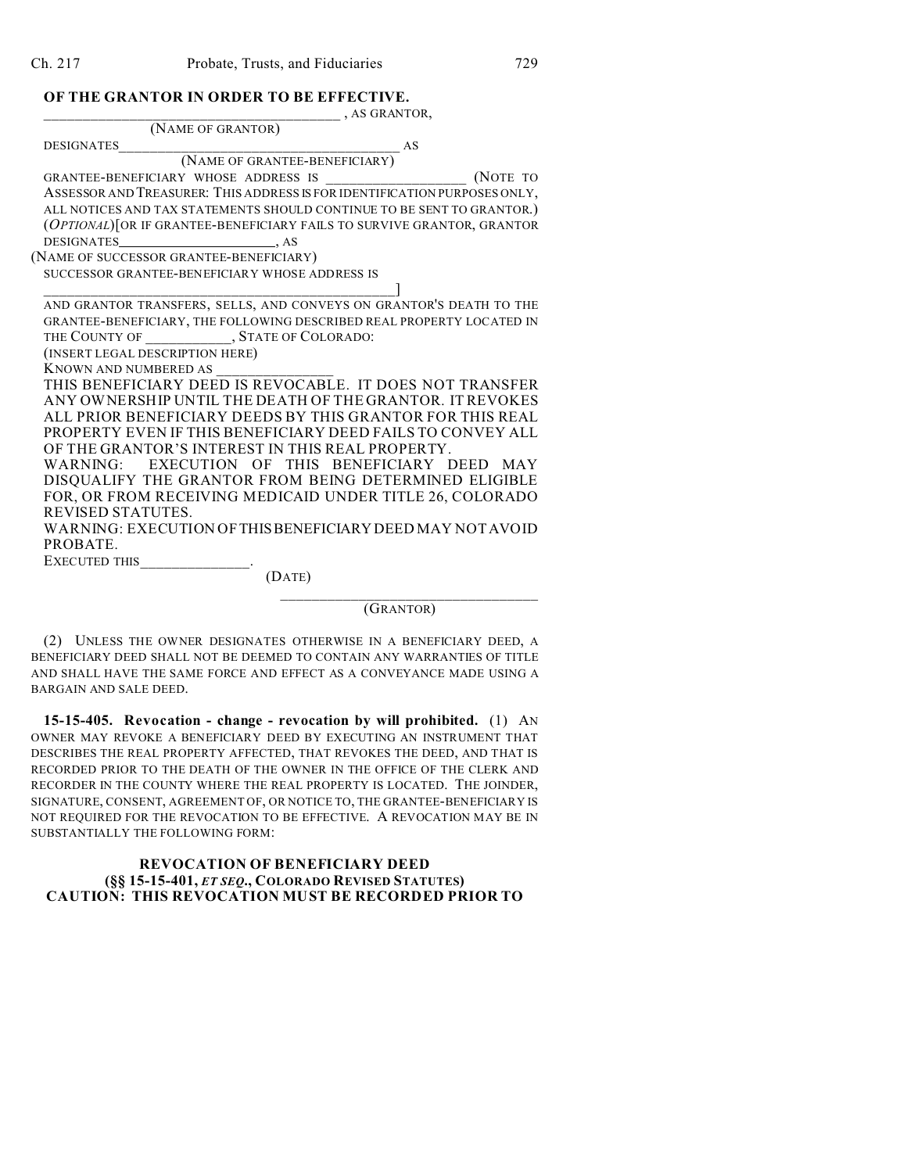## **OF THE GRANTOR IN ORDER TO BE EFFECTIVE.**

| , AS GRANTOR,                                                             |
|---------------------------------------------------------------------------|
| (NAME OF GRANTOR)                                                         |
| <b>DESIGNATES</b><br>AS                                                   |
| (NAME OF GRANTEE-BENEFICIARY)                                             |
| (NOTE TO                                                                  |
| ASSESSOR AND TREASURER: THIS ADDRESS IS FOR IDENTIFICATION PURPOSES ONLY, |
| ALL NOTICES AND TAX STATEMENTS SHOULD CONTINUE TO BE SENT TO GRANTOR.)    |
| (OPTIONAL) [OR IF GRANTEE-BENEFICIARY FAILS TO SURVIVE GRANTOR, GRANTOR   |
|                                                                           |
| (NAME OF SUCCESSOR GRANTEE-BENEFICIARY)                                   |
| SUCCESSOR GRANTEE-BENEFICIARY WHOSE ADDRESS IS                            |
|                                                                           |
| AND GRANTOR TRANSFERS, SELLS, AND CONVEYS ON GRANTOR'S DEATH TO THE       |
| GRANTEE-BENEFICIARY, THE FOLLOWING DESCRIBED REAL PROPERTY LOCATED IN     |
| THE COUNTY OF ______________, STATE OF COLORADO:                          |
| (INSERT LEGAL DESCRIPTION HERE)                                           |
| KNOWN AND NUMBERED AS                                                     |
| THIS BENEFICIARY DEED IS REVOCABLE. IT DOES NOT TRANSFER                  |
| ANY OWNERSHIP UNTIL THE DEATH OF THE GRANTOR. IT REVOKES                  |
| ALL PRIOR BENEFICIARY DEEDS BY THIS GRANTOR FOR THIS REAL                 |
| <b>PROPERTY EVEN IF THIS BENEFICIARY DEED FAILS TO CONVEY ALL</b>         |
| OF THE GRANTOR'S INTEREST IN THIS REAL PROPERTY.                          |
| WARNING: EXECUTION OF THIS BENEFICIARY DEED MAY                           |
| DISQUALIFY THE GRANTOR FROM BEING DETERMINED ELIGIBLE                     |
| FOR, OR FROM RECEIVING MEDICAID UNDER TITLE 26, COLORADO                  |
| REVISED STATUTES.                                                         |
| WARNING: EXECUTION OF THIS BENEFICIARY DEED MAY NOT AVOID                 |
| PROBATE.                                                                  |
| EXECUTED THIS                                                             |
| (DATE)                                                                    |
|                                                                           |

(GRANTOR)

(2) UNLESS THE OWNER DESIGNATES OTHERWISE IN A BENEFICIARY DEED, A BENEFICIARY DEED SHALL NOT BE DEEMED TO CONTAIN ANY WARRANTIES OF TITLE AND SHALL HAVE THE SAME FORCE AND EFFECT AS A CONVEYANCE MADE USING A BARGAIN AND SALE DEED.

**15-15-405. Revocation - change - revocation by will prohibited.** (1) AN OWNER MAY REVOKE A BENEFICIARY DEED BY EXECUTING AN INSTRUMENT THAT DESCRIBES THE REAL PROPERTY AFFECTED, THAT REVOKES THE DEED, AND THAT IS RECORDED PRIOR TO THE DEATH OF THE OWNER IN THE OFFICE OF THE CLERK AND RECORDER IN THE COUNTY WHERE THE REAL PROPERTY IS LOCATED. THE JOINDER, SIGNATURE, CONSENT, AGREEMENT OF, OR NOTICE TO, THE GRANTEE-BENEFICIARY IS NOT REQUIRED FOR THE REVOCATION TO BE EFFECTIVE. A REVOCATION MAY BE IN SUBSTANTIALLY THE FOLLOWING FORM:

#### **REVOCATION OF BENEFICIARY DEED (§§ 15-15-401,** *ET SEQ***., COLORADO REVISED STATUTES) CAUTION: THIS REVOCATION MUST BE RECORDED PRIOR TO**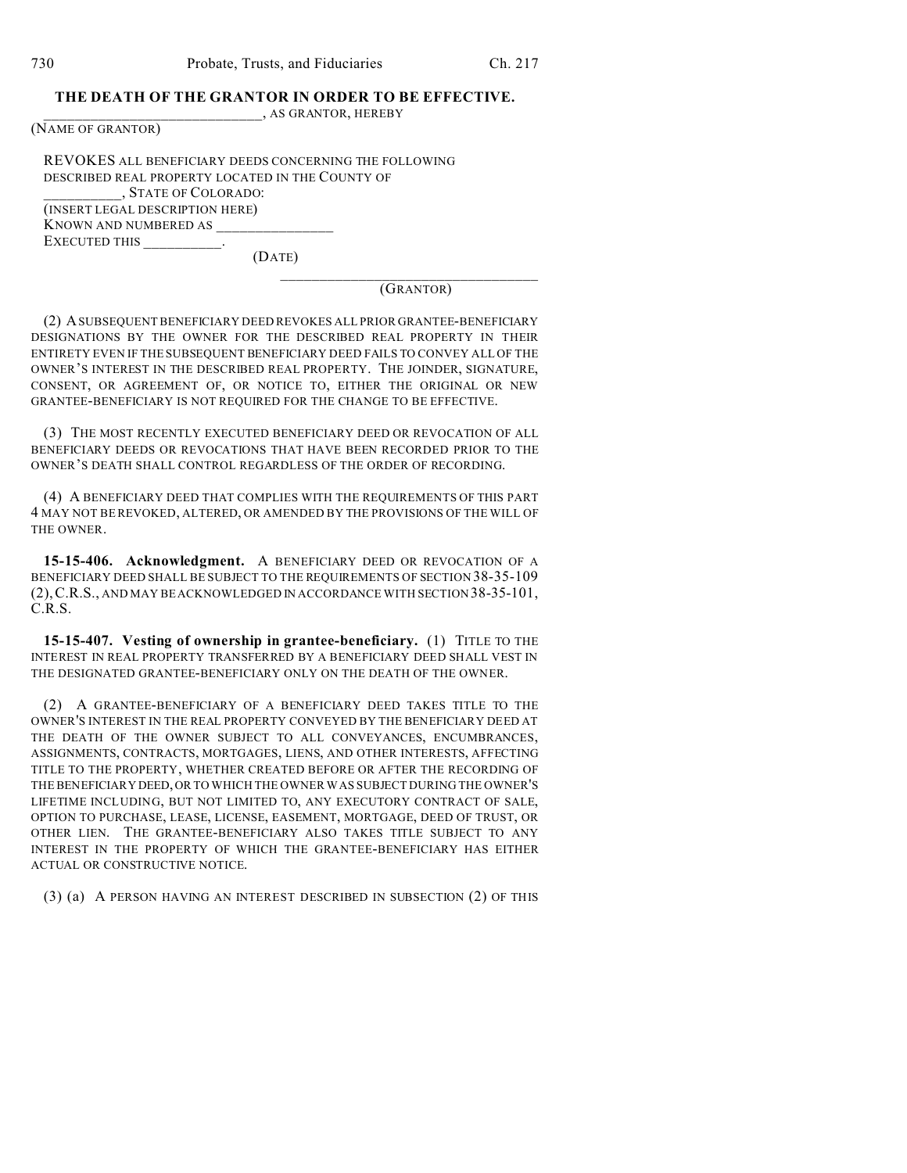## **THE DEATH OF THE GRANTOR IN ORDER TO BE EFFECTIVE.**

\_\_\_\_\_\_\_\_\_\_\_\_\_\_\_\_\_\_\_\_\_\_\_\_\_\_\_\_, AS GRANTOR, HEREBY

(NAME OF GRANTOR)

REVOKES ALL BENEFICIARY DEEDS CONCERNING THE FOLLOWING DESCRIBED REAL PROPERTY LOCATED IN THE COUNTY OF \_\_\_\_\_\_\_\_\_\_, STATE OF COLORADO: (INSERT LEGAL DESCRIPTION HERE) KNOWN AND NUMBERED AS EXECUTED THIS \_\_\_\_\_\_\_\_\_\_.

(DATE)

\_\_\_\_\_\_\_\_\_\_\_\_\_\_\_\_\_\_\_\_\_\_\_\_\_\_\_\_\_\_\_\_\_ (GRANTOR)

(2) A SUBSEQUENT BENEFICIARY DEED REVOKES ALL PRIOR GRANTEE-BENEFICIARY DESIGNATIONS BY THE OWNER FOR THE DESCRIBED REAL PROPERTY IN THEIR ENTIRETY EVEN IF THE SUBSEQUENT BENEFICIARY DEED FAILS TO CONVEY ALL OF THE OWNER'S INTEREST IN THE DESCRIBED REAL PROPERTY. THE JOINDER, SIGNATURE, CONSENT, OR AGREEMENT OF, OR NOTICE TO, EITHER THE ORIGINAL OR NEW GRANTEE-BENEFICIARY IS NOT REQUIRED FOR THE CHANGE TO BE EFFECTIVE.

(3) THE MOST RECENTLY EXECUTED BENEFICIARY DEED OR REVOCATION OF ALL BENEFICIARY DEEDS OR REVOCATIONS THAT HAVE BEEN RECORDED PRIOR TO THE OWNER'S DEATH SHALL CONTROL REGARDLESS OF THE ORDER OF RECORDING.

(4) A BENEFICIARY DEED THAT COMPLIES WITH THE REQUIREMENTS OF THIS PART 4 MAY NOT BE REVOKED, ALTERED, OR AMENDED BY THE PROVISIONS OF THE WILL OF THE OWNER.

**15-15-406. Acknowledgment.** A BENEFICIARY DEED OR REVOCATION OF A BENEFICIARY DEED SHALL BE SUBJECT TO THE REQUIREMENTS OF SECTION 38-35-109 (2),C.R.S., AND MAY BE ACKNOWLEDGED IN ACCORDANCE WITH SECTION 38-35-101, C.R.S.

**15-15-407. Vesting of ownership in grantee-beneficiary.** (1) TITLE TO THE INTEREST IN REAL PROPERTY TRANSFERRED BY A BENEFICIARY DEED SHALL VEST IN THE DESIGNATED GRANTEE-BENEFICIARY ONLY ON THE DEATH OF THE OWNER.

(2) A GRANTEE-BENEFICIARY OF A BENEFICIARY DEED TAKES TITLE TO THE OWNER'S INTEREST IN THE REAL PROPERTY CONVEYED BY THE BENEFICIARY DEED AT THE DEATH OF THE OWNER SUBJECT TO ALL CONVEYANCES, ENCUMBRANCES, ASSIGNMENTS, CONTRACTS, MORTGAGES, LIENS, AND OTHER INTERESTS, AFFECTING TITLE TO THE PROPERTY, WHETHER CREATED BEFORE OR AFTER THE RECORDING OF THE BENEFICIARY DEED,OR TO WHICH THE OWNER WAS SUBJECT DURING THE OWNER'S LIFETIME INCLUDING, BUT NOT LIMITED TO, ANY EXECUTORY CONTRACT OF SALE, OPTION TO PURCHASE, LEASE, LICENSE, EASEMENT, MORTGAGE, DEED OF TRUST, OR OTHER LIEN. THE GRANTEE-BENEFICIARY ALSO TAKES TITLE SUBJECT TO ANY INTEREST IN THE PROPERTY OF WHICH THE GRANTEE-BENEFICIARY HAS EITHER ACTUAL OR CONSTRUCTIVE NOTICE.

(3) (a) A PERSON HAVING AN INTEREST DESCRIBED IN SUBSECTION (2) OF THIS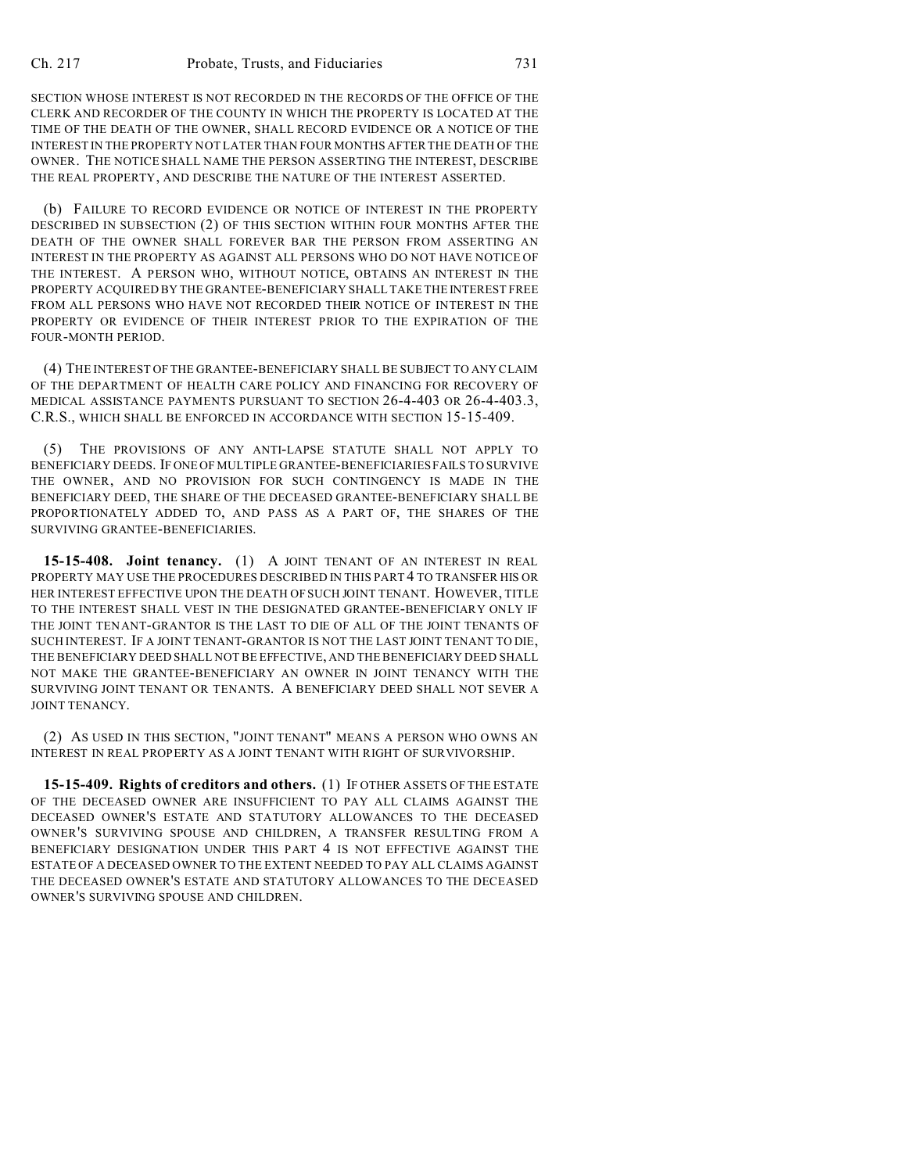SECTION WHOSE INTEREST IS NOT RECORDED IN THE RECORDS OF THE OFFICE OF THE CLERK AND RECORDER OF THE COUNTY IN WHICH THE PROPERTY IS LOCATED AT THE TIME OF THE DEATH OF THE OWNER, SHALL RECORD EVIDENCE OR A NOTICE OF THE INTEREST IN THE PROPERTY NOT LATER THAN FOUR MONTHS AFTER THE DEATH OF THE OWNER. THE NOTICE SHALL NAME THE PERSON ASSERTING THE INTEREST, DESCRIBE THE REAL PROPERTY, AND DESCRIBE THE NATURE OF THE INTEREST ASSERTED.

(b) FAILURE TO RECORD EVIDENCE OR NOTICE OF INTEREST IN THE PROPERTY DESCRIBED IN SUBSECTION (2) OF THIS SECTION WITHIN FOUR MONTHS AFTER THE DEATH OF THE OWNER SHALL FOREVER BAR THE PERSON FROM ASSERTING AN INTEREST IN THE PROPERTY AS AGAINST ALL PERSONS WHO DO NOT HAVE NOTICE OF THE INTEREST. A PERSON WHO, WITHOUT NOTICE, OBTAINS AN INTEREST IN THE PROPERTY ACQUIRED BY THE GRANTEE-BENEFICIARY SHALL TAKE THE INTEREST FREE FROM ALL PERSONS WHO HAVE NOT RECORDED THEIR NOTICE OF INTEREST IN THE PROPERTY OR EVIDENCE OF THEIR INTEREST PRIOR TO THE EXPIRATION OF THE FOUR-MONTH PERIOD.

(4) THE INTEREST OF THE GRANTEE-BENEFICIARY SHALL BE SUBJECT TO ANY CLAIM OF THE DEPARTMENT OF HEALTH CARE POLICY AND FINANCING FOR RECOVERY OF MEDICAL ASSISTANCE PAYMENTS PURSUANT TO SECTION 26-4-403 OR 26-4-403.3, C.R.S., WHICH SHALL BE ENFORCED IN ACCORDANCE WITH SECTION 15-15-409.

(5) THE PROVISIONS OF ANY ANTI-LAPSE STATUTE SHALL NOT APPLY TO BENEFICIARY DEEDS. IF ONE OF MULTIPLE GRANTEE-BENEFICIARIES FAILS TO SURVIVE THE OWNER, AND NO PROVISION FOR SUCH CONTINGENCY IS MADE IN THE BENEFICIARY DEED, THE SHARE OF THE DECEASED GRANTEE-BENEFICIARY SHALL BE PROPORTIONATELY ADDED TO, AND PASS AS A PART OF, THE SHARES OF THE SURVIVING GRANTEE-BENEFICIARIES.

**15-15-408. Joint tenancy.** (1) A JOINT TENANT OF AN INTEREST IN REAL PROPERTY MAY USE THE PROCEDURES DESCRIBED IN THIS PART 4 TO TRANSFER HIS OR HER INTEREST EFFECTIVE UPON THE DEATH OF SUCH JOINT TENANT. HOWEVER, TITLE TO THE INTEREST SHALL VEST IN THE DESIGNATED GRANTEE-BENEFICIARY ONLY IF THE JOINT TENANT-GRANTOR IS THE LAST TO DIE OF ALL OF THE JOINT TENANTS OF SUCH INTEREST. IF A JOINT TENANT-GRANTOR IS NOT THE LAST JOINT TENANT TO DIE, THE BENEFICIARY DEED SHALL NOT BE EFFECTIVE, AND THE BENEFICIARY DEED SHALL NOT MAKE THE GRANTEE-BENEFICIARY AN OWNER IN JOINT TENANCY WITH THE SURVIVING JOINT TENANT OR TENANTS. A BENEFICIARY DEED SHALL NOT SEVER A JOINT TENANCY.

(2) AS USED IN THIS SECTION, "JOINT TENANT" MEANS A PERSON WHO OWNS AN INTEREST IN REAL PROPERTY AS A JOINT TENANT WITH RIGHT OF SURVIVORSHIP.

**15-15-409. Rights of creditors and others.** (1) IF OTHER ASSETS OF THE ESTATE OF THE DECEASED OWNER ARE INSUFFICIENT TO PAY ALL CLAIMS AGAINST THE DECEASED OWNER'S ESTATE AND STATUTORY ALLOWANCES TO THE DECEASED OWNER'S SURVIVING SPOUSE AND CHILDREN, A TRANSFER RESULTING FROM A BENEFICIARY DESIGNATION UNDER THIS PART 4 IS NOT EFFECTIVE AGAINST THE ESTATE OF A DECEASED OWNER TO THE EXTENT NEEDED TO PAY ALL CLAIMS AGAINST THE DECEASED OWNER'S ESTATE AND STATUTORY ALLOWANCES TO THE DECEASED OWNER'S SURVIVING SPOUSE AND CHILDREN.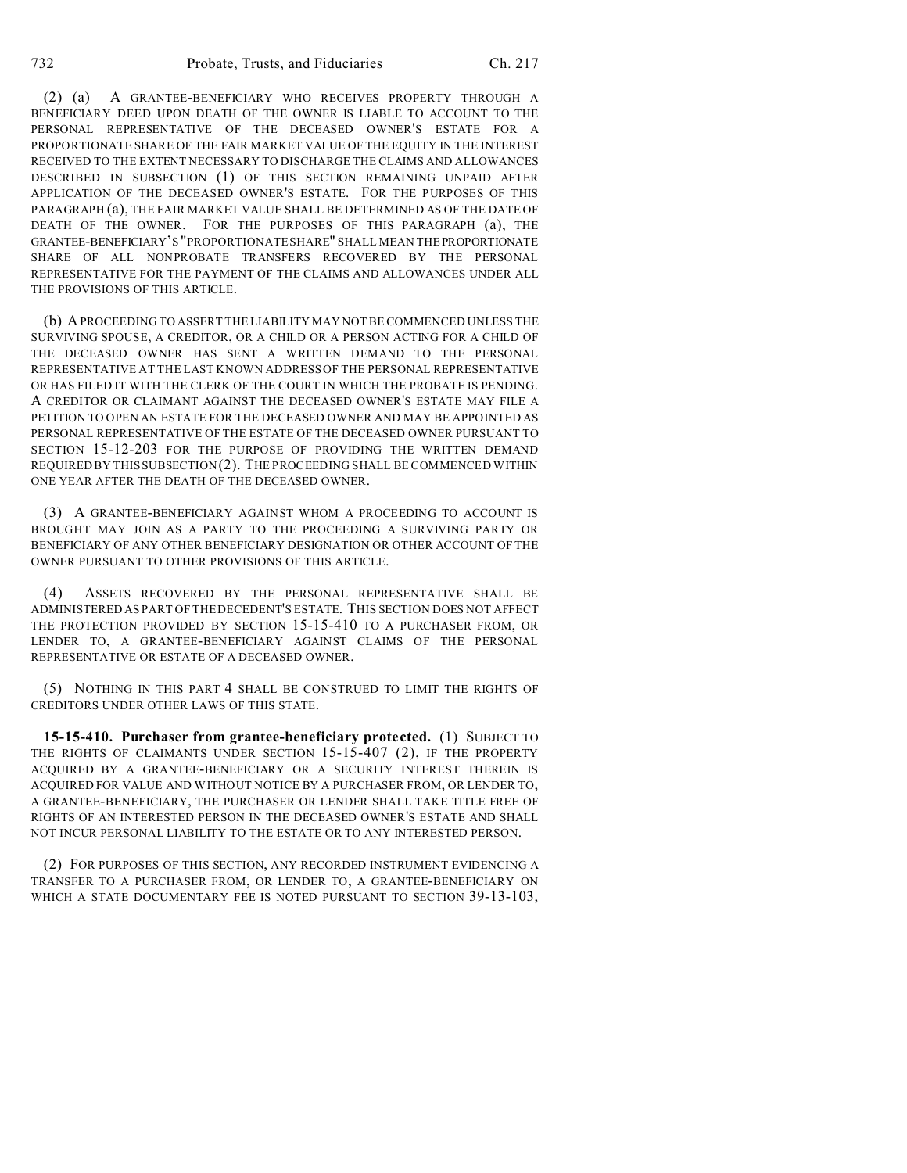(2) (a) A GRANTEE-BENEFICIARY WHO RECEIVES PROPERTY THROUGH A BENEFICIARY DEED UPON DEATH OF THE OWNER IS LIABLE TO ACCOUNT TO THE PERSONAL REPRESENTATIVE OF THE DECEASED OWNER'S ESTATE FOR A PROPORTIONATE SHARE OF THE FAIR MARKET VALUE OF THE EQUITY IN THE INTEREST RECEIVED TO THE EXTENT NECESSARY TO DISCHARGE THE CLAIMS AND ALLOWANCES DESCRIBED IN SUBSECTION (1) OF THIS SECTION REMAINING UNPAID AFTER APPLICATION OF THE DECEASED OWNER'S ESTATE. FOR THE PURPOSES OF THIS PARAGRAPH (a), THE FAIR MARKET VALUE SHALL BE DETERMINED AS OF THE DATE OF DEATH OF THE OWNER. FOR THE PURPOSES OF THIS PARAGRAPH (a), THE GRANTEE-BENEFICIARY'S "PROPORTIONATE SHARE" SHALL MEAN THE PROPORTIONATE SHARE OF ALL NONPROBATE TRANSFERS RECOVERED BY THE PERSONAL REPRESENTATIVE FOR THE PAYMENT OF THE CLAIMS AND ALLOWANCES UNDER ALL THE PROVISIONS OF THIS ARTICLE.

(b) A PROCEEDING TO ASSERT THE LIABILITY MAY NOT BE COMMENCED UNLESS THE SURVIVING SPOUSE, A CREDITOR, OR A CHILD OR A PERSON ACTING FOR A CHILD OF THE DECEASED OWNER HAS SENT A WRITTEN DEMAND TO THE PERSONAL REPRESENTATIVE AT THE LAST KNOWN ADDRESS OF THE PERSONAL REPRESENTATIVE OR HAS FILED IT WITH THE CLERK OF THE COURT IN WHICH THE PROBATE IS PENDING. A CREDITOR OR CLAIMANT AGAINST THE DECEASED OWNER'S ESTATE MAY FILE A PETITION TO OPEN AN ESTATE FOR THE DECEASED OWNER AND MAY BE APPOINTED AS PERSONAL REPRESENTATIVE OF THE ESTATE OF THE DECEASED OWNER PURSUANT TO SECTION 15-12-203 FOR THE PURPOSE OF PROVIDING THE WRITTEN DEMAND REQUIRED BY THIS SUBSECTION (2). THE PROCEEDING SHALL BE COMMENCED WITHIN ONE YEAR AFTER THE DEATH OF THE DECEASED OWNER.

(3) A GRANTEE-BENEFICIARY AGAINST WHOM A PROCEEDING TO ACCOUNT IS BROUGHT MAY JOIN AS A PARTY TO THE PROCEEDING A SURVIVING PARTY OR BENEFICIARY OF ANY OTHER BENEFICIARY DESIGNATION OR OTHER ACCOUNT OF THE OWNER PURSUANT TO OTHER PROVISIONS OF THIS ARTICLE.

(4) ASSETS RECOVERED BY THE PERSONAL REPRESENTATIVE SHALL BE ADMINISTERED AS PART OF THE DECEDENT'S ESTATE. THIS SECTION DOES NOT AFFECT THE PROTECTION PROVIDED BY SECTION 15-15-410 TO A PURCHASER FROM, OR LENDER TO, A GRANTEE-BENEFICIARY AGAINST CLAIMS OF THE PERSONAL REPRESENTATIVE OR ESTATE OF A DECEASED OWNER.

(5) NOTHING IN THIS PART 4 SHALL BE CONSTRUED TO LIMIT THE RIGHTS OF CREDITORS UNDER OTHER LAWS OF THIS STATE.

**15-15-410. Purchaser from grantee-beneficiary protected.** (1) SUBJECT TO THE RIGHTS OF CLAIMANTS UNDER SECTION 15-15-407 (2), IF THE PROPERTY ACQUIRED BY A GRANTEE-BENEFICIARY OR A SECURITY INTEREST THEREIN IS ACQUIRED FOR VALUE AND WITHOUT NOTICE BY A PURCHASER FROM, OR LENDER TO, A GRANTEE-BENEFICIARY, THE PURCHASER OR LENDER SHALL TAKE TITLE FREE OF RIGHTS OF AN INTERESTED PERSON IN THE DECEASED OWNER'S ESTATE AND SHALL NOT INCUR PERSONAL LIABILITY TO THE ESTATE OR TO ANY INTERESTED PERSON.

(2) FOR PURPOSES OF THIS SECTION, ANY RECORDED INSTRUMENT EVIDENCING A TRANSFER TO A PURCHASER FROM, OR LENDER TO, A GRANTEE-BENEFICIARY ON WHICH A STATE DOCUMENTARY FEE IS NOTED PURSUANT TO SECTION 39-13-103,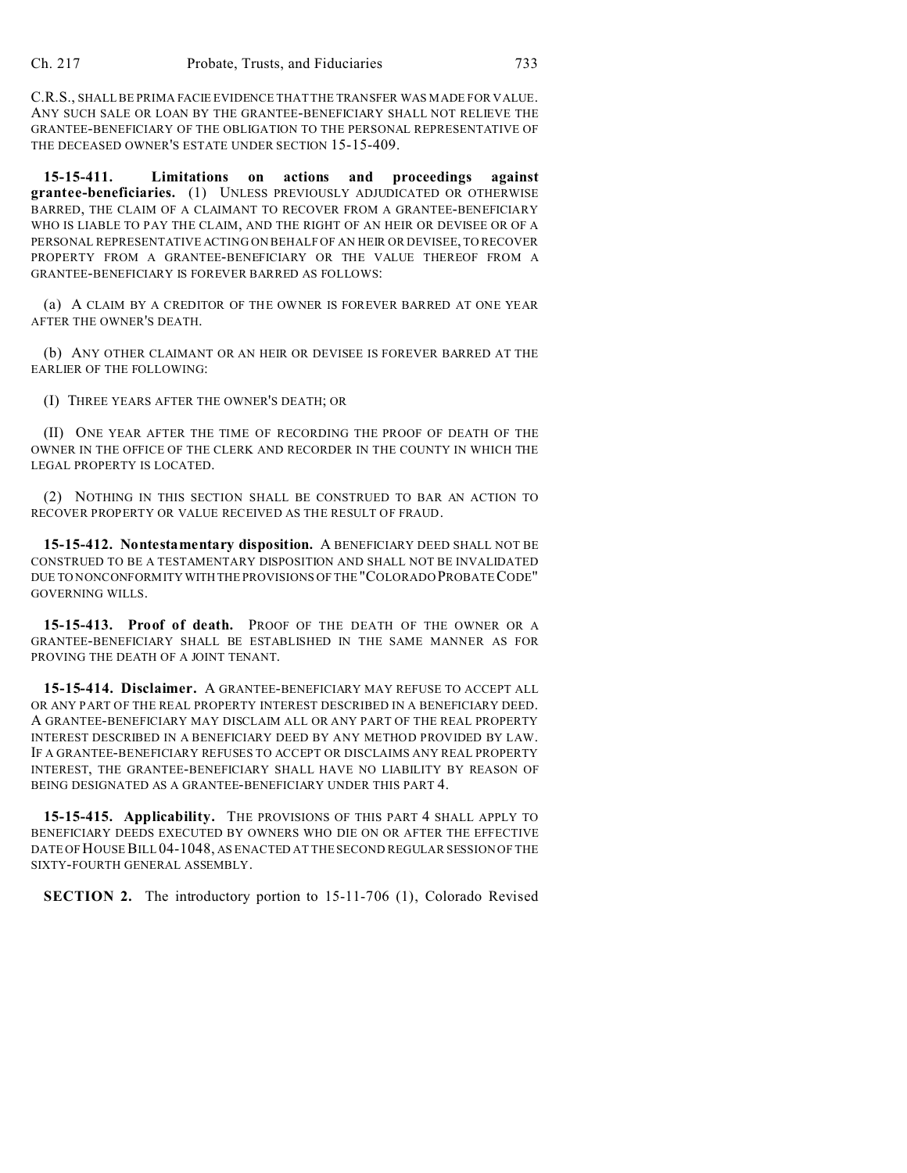C.R.S., SHALL BE PRIMA FACIE EVIDENCE THAT THE TRANSFER WAS MADE FOR VALUE. ANY SUCH SALE OR LOAN BY THE GRANTEE-BENEFICIARY SHALL NOT RELIEVE THE GRANTEE-BENEFICIARY OF THE OBLIGATION TO THE PERSONAL REPRESENTATIVE OF THE DECEASED OWNER'S ESTATE UNDER SECTION 15-15-409.

**15-15-411. Limitations on actions and proceedings against grantee-beneficiaries.** (1) UNLESS PREVIOUSLY ADJUDICATED OR OTHERWISE BARRED, THE CLAIM OF A CLAIMANT TO RECOVER FROM A GRANTEE-BENEFICIARY WHO IS LIABLE TO PAY THE CLAIM, AND THE RIGHT OF AN HEIR OR DEVISEE OR OF A PERSONAL REPRESENTATIVE ACTING ON BEHALF OF AN HEIR OR DEVISEE, TO RECOVER PROPERTY FROM A GRANTEE-BENEFICIARY OR THE VALUE THEREOF FROM A GRANTEE-BENEFICIARY IS FOREVER BARRED AS FOLLOWS:

(a) A CLAIM BY A CREDITOR OF THE OWNER IS FOREVER BARRED AT ONE YEAR AFTER THE OWNER'S DEATH.

(b) ANY OTHER CLAIMANT OR AN HEIR OR DEVISEE IS FOREVER BARRED AT THE EARLIER OF THE FOLLOWING:

(I) THREE YEARS AFTER THE OWNER'S DEATH; OR

(II) ONE YEAR AFTER THE TIME OF RECORDING THE PROOF OF DEATH OF THE OWNER IN THE OFFICE OF THE CLERK AND RECORDER IN THE COUNTY IN WHICH THE LEGAL PROPERTY IS LOCATED.

(2) NOTHING IN THIS SECTION SHALL BE CONSTRUED TO BAR AN ACTION TO RECOVER PROPERTY OR VALUE RECEIVED AS THE RESULT OF FRAUD.

**15-15-412. Nontestamentary disposition.** A BENEFICIARY DEED SHALL NOT BE CONSTRUED TO BE A TESTAMENTARY DISPOSITION AND SHALL NOT BE INVALIDATED DUE TO NONCONFORMITY WITH THE PROVISIONS OF THE "COLORADO PROBATE CODE" GOVERNING WILLS.

**15-15-413. Proof of death.** PROOF OF THE DEATH OF THE OWNER OR A GRANTEE-BENEFICIARY SHALL BE ESTABLISHED IN THE SAME MANNER AS FOR PROVING THE DEATH OF A JOINT TENANT.

**15-15-414. Disclaimer.** A GRANTEE-BENEFICIARY MAY REFUSE TO ACCEPT ALL OR ANY PART OF THE REAL PROPERTY INTEREST DESCRIBED IN A BENEFICIARY DEED. A GRANTEE-BENEFICIARY MAY DISCLAIM ALL OR ANY PART OF THE REAL PROPERTY INTEREST DESCRIBED IN A BENEFICIARY DEED BY ANY METHOD PROVIDED BY LAW. IF A GRANTEE-BENEFICIARY REFUSES TO ACCEPT OR DISCLAIMS ANY REAL PROPERTY INTEREST, THE GRANTEE-BENEFICIARY SHALL HAVE NO LIABILITY BY REASON OF BEING DESIGNATED AS A GRANTEE-BENEFICIARY UNDER THIS PART 4.

**15-15-415. Applicability.** THE PROVISIONS OF THIS PART 4 SHALL APPLY TO BENEFICIARY DEEDS EXECUTED BY OWNERS WHO DIE ON OR AFTER THE EFFECTIVE DATE OF HOUSEBILL 04-1048, AS ENACTED AT THE SECOND REGULAR SESSION OF THE SIXTY-FOURTH GENERAL ASSEMBLY.

**SECTION 2.** The introductory portion to 15-11-706 (1), Colorado Revised